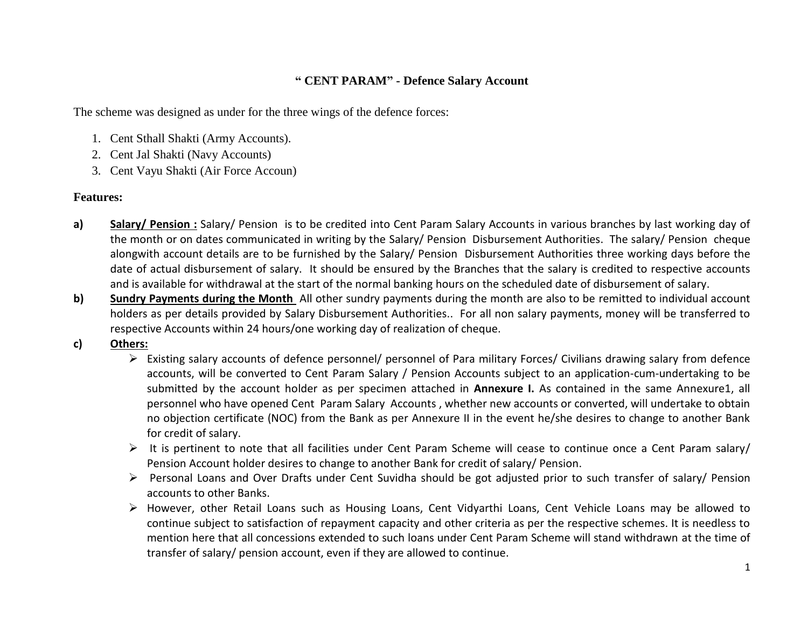## **" CENT PARAM" - Defence Salary Account**

The scheme was designed as under for the three wings of the defence forces:

- 1. Cent Sthall Shakti (Army Accounts).
- 2. Cent Jal Shakti (Navy Accounts)
- 3. Cent Vayu Shakti (Air Force Accoun)

## **Features:**

- **a) Salary/ Pension :** Salary/ Pension is to be credited into Cent Param Salary Accounts in various branches by last working day of the month or on dates communicated in writing by the Salary/ Pension Disbursement Authorities. The salary/ Pension cheque alongwith account details are to be furnished by the Salary/ Pension Disbursement Authorities three working days before the date of actual disbursement of salary. It should be ensured by the Branches that the salary is credited to respective accounts and is available for withdrawal at the start of the normal banking hours on the scheduled date of disbursement of salary.
- **b) Sundry Payments during the Month** All other sundry payments during the month are also to be remitted to individual account holders as per details provided by Salary Disbursement Authorities.. For all non salary payments, money will be transferred to respective Accounts within 24 hours/one working day of realization of cheque.
- **c) Others:**
	- Existing salary accounts of defence personnel/ personnel of Para military Forces/ Civilians drawing salary from defence accounts, will be converted to Cent Param Salary / Pension Accounts subject to an application-cum-undertaking to be submitted by the account holder as per specimen attached in **Annexure I.** As contained in the same Annexure1, all personnel who have opened Cent Param Salary Accounts , whether new accounts or converted, will undertake to obtain no objection certificate (NOC) from the Bank as per Annexure II in the event he/she desires to change to another Bank for credit of salary.
	- It is pertinent to note that all facilities under Cent Param Scheme will cease to continue once a Cent Param salary/ Pension Account holder desires to change to another Bank for credit of salary/ Pension.
	- Personal Loans and Over Drafts under Cent Suvidha should be got adjusted prior to such transfer of salary/ Pension accounts to other Banks.
	- However, other Retail Loans such as Housing Loans, Cent Vidyarthi Loans, Cent Vehicle Loans may be allowed to continue subject to satisfaction of repayment capacity and other criteria as per the respective schemes. It is needless to mention here that all concessions extended to such loans under Cent Param Scheme will stand withdrawn at the time of transfer of salary/ pension account, even if they are allowed to continue.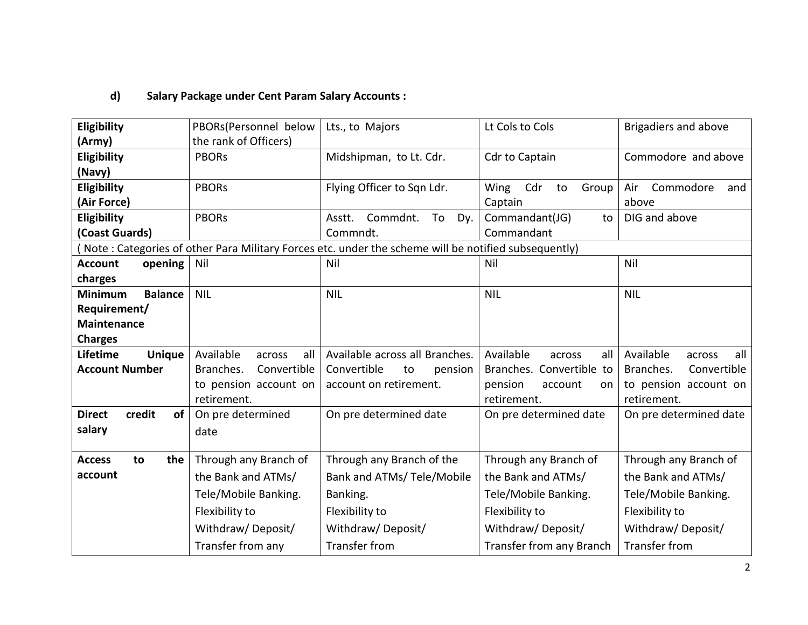## **d) Salary Package under Cent Param Salary Accounts :**

| Eligibility                      | PBORs(Personnel below      | Lts., to Majors                                                                                      | Lt Cols to Cols            | Brigadiers and above       |
|----------------------------------|----------------------------|------------------------------------------------------------------------------------------------------|----------------------------|----------------------------|
| (Army)                           | the rank of Officers)      |                                                                                                      |                            |                            |
| Eligibility                      | <b>PBORs</b>               | Midshipman, to Lt. Cdr.                                                                              | Cdr to Captain             | Commodore and above        |
| (Navy)                           |                            |                                                                                                      |                            |                            |
| Eligibility                      | <b>PBORs</b>               | Flying Officer to Sqn Ldr.                                                                           | Cdr<br>Wing<br>Group<br>to | Commodore<br>Air<br>and    |
| (Air Force)                      |                            |                                                                                                      | Captain                    | above                      |
| Eligibility                      | <b>PBORs</b>               | Commdnt.<br>To<br>Dy.<br>Asstt.                                                                      | Commandant(JG)<br>to       | DIG and above              |
| (Coast Guards)                   |                            | Commndt.                                                                                             | Commandant                 |                            |
|                                  |                            | (Note: Categories of other Para Military Forces etc. under the scheme will be notified subsequently) |                            |                            |
| <b>Account</b><br>opening        | Nil                        | Nil                                                                                                  | Nil                        | Nil                        |
| charges                          |                            |                                                                                                      |                            |                            |
| <b>Minimum</b><br><b>Balance</b> | <b>NIL</b>                 | <b>NIL</b>                                                                                           | <b>NIL</b>                 | <b>NIL</b>                 |
| Requirement/                     |                            |                                                                                                      |                            |                            |
| <b>Maintenance</b>               |                            |                                                                                                      |                            |                            |
| <b>Charges</b>                   |                            |                                                                                                      |                            |                            |
| Lifetime<br><b>Unique</b>        | Available<br>all<br>across | Available across all Branches.                                                                       | Available<br>all<br>across | Available<br>all<br>across |
| <b>Account Number</b>            | Branches.<br>Convertible   | Convertible<br>to<br>pension                                                                         | Branches. Convertible to   | Branches.<br>Convertible   |
|                                  | to pension account on      | account on retirement.                                                                               | pension<br>account<br>on   | to pension account on      |
|                                  | retirement.                |                                                                                                      | retirement.                | retirement.                |
| credit<br><b>Direct</b><br>οf    | On pre determined          | On pre determined date                                                                               | On pre determined date     | On pre determined date     |
| salary                           | date                       |                                                                                                      |                            |                            |
|                                  |                            |                                                                                                      |                            |                            |
| the<br><b>Access</b><br>to       | Through any Branch of      | Through any Branch of the                                                                            | Through any Branch of      | Through any Branch of      |
| account                          | the Bank and ATMs/         | Bank and ATMs/ Tele/Mobile                                                                           | the Bank and ATMs/         | the Bank and ATMs/         |
|                                  | Tele/Mobile Banking.       | Banking.                                                                                             | Tele/Mobile Banking.       | Tele/Mobile Banking.       |
|                                  | Flexibility to             | Flexibility to                                                                                       | Flexibility to             | Flexibility to             |
|                                  | Withdraw/Deposit/          | Withdraw/Deposit/                                                                                    | Withdraw/Deposit/          | Withdraw/Deposit/          |
|                                  | Transfer from any          | Transfer from                                                                                        | Transfer from any Branch   | <b>Transfer from</b>       |
|                                  |                            |                                                                                                      |                            |                            |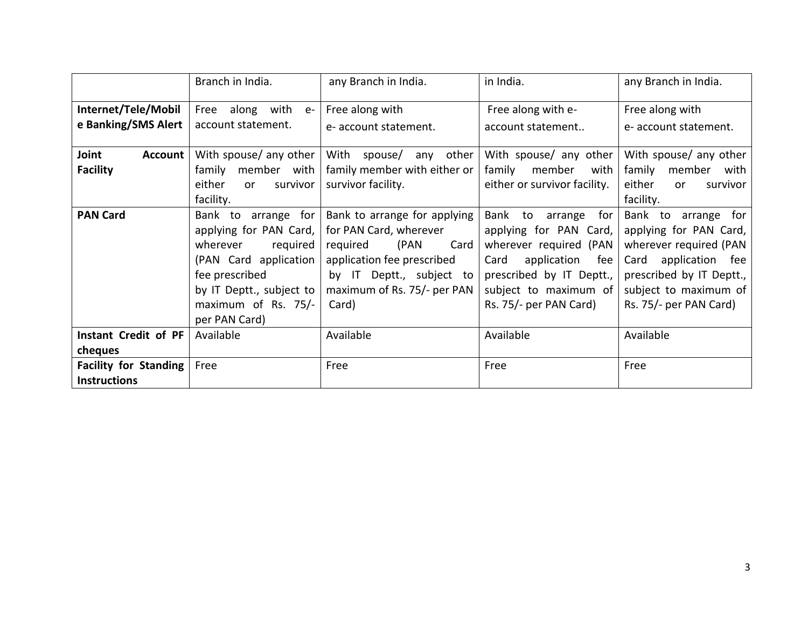|                              | Branch in India.         | any Branch in India.            | in India.                    | any Branch in India.            |
|------------------------------|--------------------------|---------------------------------|------------------------------|---------------------------------|
| Internet/Tele/Mobil          | Free along with<br>$e-$  | Free along with                 | Free along with e-           | Free along with                 |
| e Banking/SMS Alert          | account statement.       | e- account statement.           | account statement            | e- account statement.           |
| Joint<br><b>Account</b>      | With spouse/ any other   | With<br>spouse/<br>other<br>any | With spouse/ any other       | With spouse/ any other          |
| <b>Facility</b>              | family<br>member with    | family member with either or    | family<br>with<br>member     | family<br>member<br>with        |
|                              | either<br>survivor<br>or | survivor facility.              | either or survivor facility. | either<br>survivor<br><b>or</b> |
|                              | facility.                |                                 |                              | facility.                       |
| <b>PAN Card</b>              | Bank to<br>arrange for   | Bank to arrange for applying    | Bank to<br>arrange<br>for    | Bank to arrange for             |
|                              | applying for PAN Card,   | for PAN Card, wherever          | applying for PAN Card,       | applying for PAN Card,          |
|                              | wherever<br>required     | (PAN<br>Card<br>required        | wherever required (PAN       | wherever required (PAN          |
|                              | (PAN Card application    | application fee prescribed      | application<br>Card<br>fee   | application<br>Card<br>fee      |
|                              | fee prescribed           | by IT Deptt., subject to        | prescribed by IT Deptt.,     | prescribed by IT Deptt.,        |
|                              | by IT Deptt., subject to | maximum of Rs. 75/- per PAN     | subject to maximum of        | subject to maximum of           |
|                              | maximum of Rs. 75/-      | Card)                           | Rs. 75/- per PAN Card)       | Rs. 75/- per PAN Card)          |
|                              | per PAN Card)            |                                 |                              |                                 |
| Instant Credit of PF         | Available                | Available                       | Available                    | Available                       |
| cheques                      |                          |                                 |                              |                                 |
| <b>Facility for Standing</b> | Free                     | Free                            | Free                         | Free                            |
| <b>Instructions</b>          |                          |                                 |                              |                                 |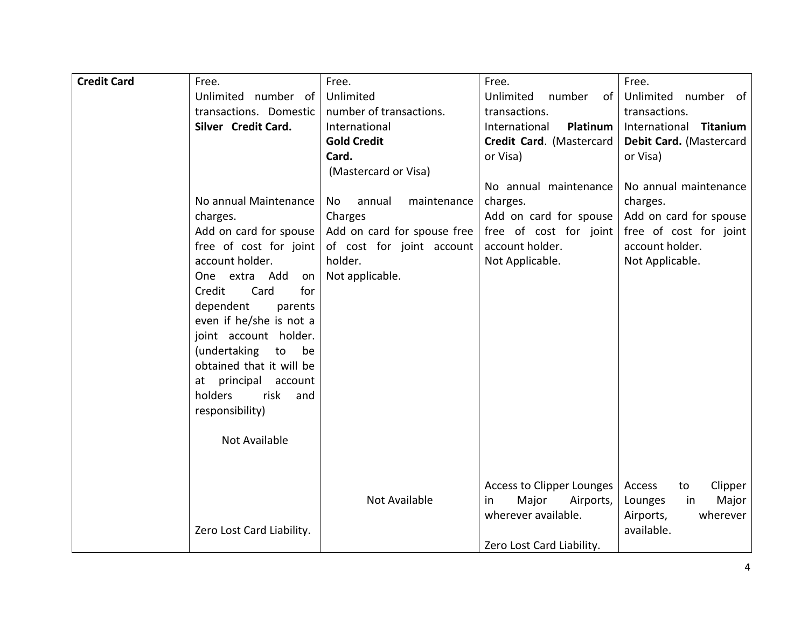| <b>Credit Card</b> | Free.                     | Free.                       | Free.                     | Free.                   |
|--------------------|---------------------------|-----------------------------|---------------------------|-------------------------|
|                    | Unlimited number of       | Unlimited                   | Unlimited<br>number<br>of | Unlimited number of     |
|                    | transactions. Domestic    | number of transactions.     | transactions.             | transactions.           |
|                    | Silver Credit Card.       | International               | International<br>Platinum | International Titanium  |
|                    |                           |                             |                           |                         |
|                    |                           | <b>Gold Credit</b>          | Credit Card. (Mastercard  | Debit Card. (Mastercard |
|                    |                           | Card.                       | or Visa)                  | or Visa)                |
|                    |                           | (Mastercard or Visa)        |                           |                         |
|                    |                           |                             | No annual maintenance     | No annual maintenance   |
|                    | No annual Maintenance     | annual<br>maintenance<br>No | charges.                  | charges.                |
|                    | charges.                  | Charges                     | Add on card for spouse    | Add on card for spouse  |
|                    | Add on card for spouse    | Add on card for spouse free | free of cost for joint    | free of cost for joint  |
|                    | free of cost for joint    | of cost for joint account   | account holder.           | account holder.         |
|                    | account holder.           | holder.                     | Not Applicable.           | Not Applicable.         |
|                    | One extra Add<br>on       | Not applicable.             |                           |                         |
|                    | for<br>Card<br>Credit     |                             |                           |                         |
|                    | dependent<br>parents      |                             |                           |                         |
|                    | even if he/she is not a   |                             |                           |                         |
|                    | joint account holder.     |                             |                           |                         |
|                    | (undertaking<br>to<br>be  |                             |                           |                         |
|                    | obtained that it will be  |                             |                           |                         |
|                    | at principal account      |                             |                           |                         |
|                    | holders<br>risk<br>and    |                             |                           |                         |
|                    | responsibility)           |                             |                           |                         |
|                    |                           |                             |                           |                         |
|                    | <b>Not Available</b>      |                             |                           |                         |
|                    |                           |                             |                           |                         |
|                    |                           |                             |                           |                         |
|                    |                           |                             | Access to Clipper Lounges | Clipper<br>Access<br>to |
|                    |                           | Not Available               | Major<br>Airports,<br>in. | Major<br>Lounges<br>in  |
|                    |                           |                             | wherever available.       | Airports,<br>wherever   |
|                    | Zero Lost Card Liability. |                             |                           | available.              |
|                    |                           |                             | Zero Lost Card Liability. |                         |
|                    |                           |                             |                           |                         |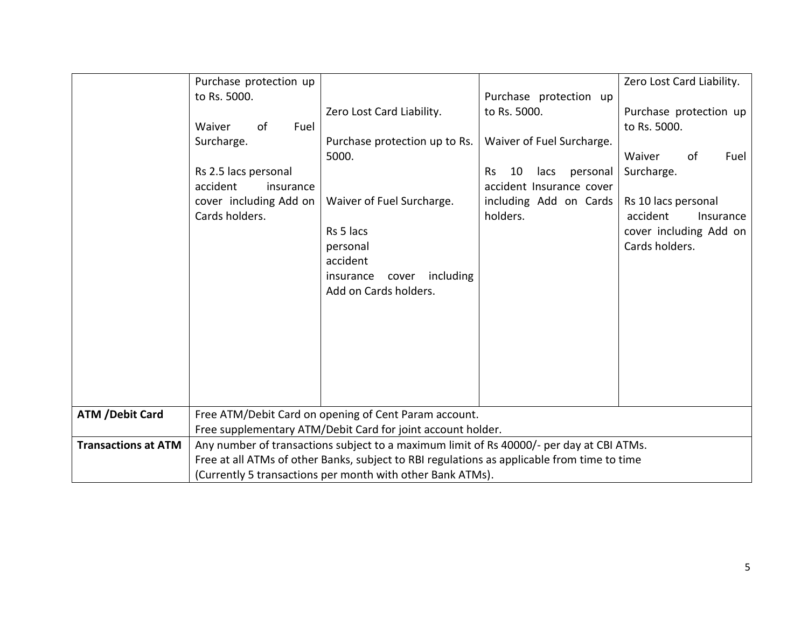|                            | Purchase protection up |                                                                                             |                              | Zero Lost Card Liability. |
|----------------------------|------------------------|---------------------------------------------------------------------------------------------|------------------------------|---------------------------|
|                            | to Rs. 5000.           |                                                                                             | Purchase protection up       |                           |
|                            |                        | Zero Lost Card Liability.                                                                   | to Rs. 5000.                 | Purchase protection up    |
|                            | Waiver<br>of<br>Fuel   |                                                                                             |                              | to Rs. 5000.              |
|                            | Surcharge.             | Purchase protection up to Rs.                                                               | Waiver of Fuel Surcharge.    |                           |
|                            |                        | 5000.                                                                                       |                              | Waiver<br>of<br>Fuel      |
|                            | Rs 2.5 lacs personal   |                                                                                             | personal<br>Rs<br>10<br>lacs | Surcharge.                |
|                            | accident<br>insurance  |                                                                                             | accident Insurance cover     |                           |
|                            | cover including Add on | Waiver of Fuel Surcharge.                                                                   | including Add on Cards       | Rs 10 lacs personal       |
|                            | Cards holders.         |                                                                                             | holders.                     | accident<br>Insurance     |
|                            |                        | Rs 5 lacs                                                                                   |                              | cover including Add on    |
|                            |                        | personal                                                                                    |                              | Cards holders.            |
|                            |                        | accident                                                                                    |                              |                           |
|                            |                        | including<br>insurance<br>cover                                                             |                              |                           |
|                            |                        | Add on Cards holders.                                                                       |                              |                           |
|                            |                        |                                                                                             |                              |                           |
|                            |                        |                                                                                             |                              |                           |
|                            |                        |                                                                                             |                              |                           |
|                            |                        |                                                                                             |                              |                           |
|                            |                        |                                                                                             |                              |                           |
|                            |                        |                                                                                             |                              |                           |
|                            |                        |                                                                                             |                              |                           |
| <b>ATM /Debit Card</b>     |                        | Free ATM/Debit Card on opening of Cent Param account.                                       |                              |                           |
|                            |                        | Free supplementary ATM/Debit Card for joint account holder.                                 |                              |                           |
| <b>Transactions at ATM</b> |                        | Any number of transactions subject to a maximum limit of Rs 40000/- per day at CBI ATMs.    |                              |                           |
|                            |                        | Free at all ATMs of other Banks, subject to RBI regulations as applicable from time to time |                              |                           |
|                            |                        | (Currently 5 transactions per month with other Bank ATMs).                                  |                              |                           |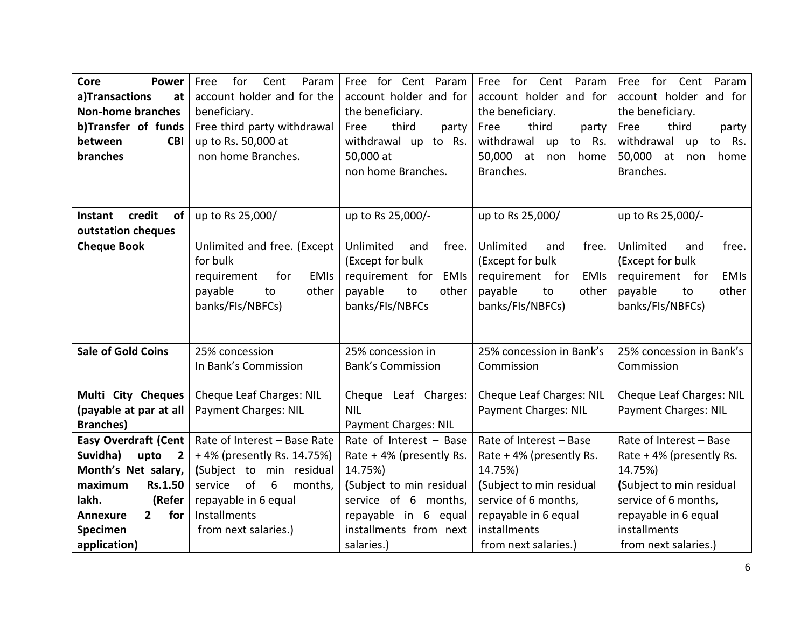| <b>Core</b><br><b>Power</b>              | for<br>Param<br>Free<br>Cent    | Free for Cent Param            | Free for Cent<br>Param          | Free<br>for Cent<br>Param       |
|------------------------------------------|---------------------------------|--------------------------------|---------------------------------|---------------------------------|
| a)Transactions<br>at                     | account holder and for the      | account holder and for         | account holder and for          | account holder and for          |
| <b>Non-home branches</b>                 | beneficiary.                    | the beneficiary.               | the beneficiary.                | the beneficiary.                |
| b)Transfer of funds                      | Free third party withdrawal     | third<br>Free<br>party         | third<br>Free<br>party          | third<br>Free<br>party          |
| between<br><b>CBI</b>                    | up to Rs. 50,000 at             | withdrawal up to Rs.           | withdrawal<br>to Rs.<br>up      | withdrawal<br>to Rs.<br>up      |
| branches                                 | non home Branches.              | 50,000 at                      | 50,000 at<br>non<br>home        | 50,000 at<br>home<br>non        |
|                                          |                                 | non home Branches.             | Branches.                       | Branches.                       |
|                                          |                                 |                                |                                 |                                 |
|                                          |                                 |                                |                                 |                                 |
| credit<br>Instant<br>of                  | up to Rs 25,000/                | up to Rs 25,000/-              | up to Rs 25,000/                | up to Rs 25,000/-               |
| outstation cheques                       |                                 |                                |                                 |                                 |
| <b>Cheque Book</b>                       | Unlimited and free. (Except     | Unlimited<br>and<br>free.      | Unlimited<br>and<br>free.       | Unlimited<br>free.<br>and       |
|                                          | for bulk                        | (Except for bulk               | (Except for bulk                | (Except for bulk                |
|                                          | requirement<br>for<br>EMIs      | requirement for<br><b>EMIs</b> | requirement for<br><b>EMIs</b>  | requirement for<br><b>EMIs</b>  |
|                                          | payable<br>other<br>to          | payable<br>to<br>other         | payable<br>to<br>other          | payable<br>other<br>to          |
|                                          | banks/FIs/NBFCs)                | banks/FIs/NBFCs                | banks/FIs/NBFCs)                | banks/FIs/NBFCs)                |
|                                          |                                 |                                |                                 |                                 |
|                                          |                                 |                                |                                 |                                 |
| <b>Sale of Gold Coins</b>                | 25% concession                  | 25% concession in              | 25% concession in Bank's        | 25% concession in Bank's        |
|                                          | In Bank's Commission            | <b>Bank's Commission</b>       | Commission                      | Commission                      |
|                                          |                                 |                                |                                 |                                 |
| Multi City Cheques                       | <b>Cheque Leaf Charges: NIL</b> | Cheque Leaf Charges:           | <b>Cheque Leaf Charges: NIL</b> | <b>Cheque Leaf Charges: NIL</b> |
| (payable at par at all                   | <b>Payment Charges: NIL</b>     | <b>NIL</b>                     | <b>Payment Charges: NIL</b>     | <b>Payment Charges: NIL</b>     |
| <b>Branches</b> )                        |                                 | Payment Charges: NIL           |                                 |                                 |
| <b>Easy Overdraft (Cent</b>              | Rate of Interest - Base Rate    | Rate of Interest - Base        | Rate of Interest - Base         | Rate of Interest - Base         |
| Suvidha)<br>upto<br>$\overline{2}$       | +4% (presently Rs. 14.75%)      | Rate + 4% (presently Rs.       | Rate + 4% (presently Rs.        | Rate +4% (presently Rs.         |
| Month's Net salary,                      | (Subject to min residual        | 14.75%)                        | 14.75%)                         | 14.75%)                         |
| maximum<br><b>Rs.1.50</b>                | of<br>service<br>6<br>months,   | (Subject to min residual       | (Subject to min residual        | (Subject to min residual        |
| lakh.<br>(Refer                          | repayable in 6 equal            | service of 6 months,           | service of 6 months,            | service of 6 months,            |
| for<br>$\overline{2}$<br><b>Annexure</b> | Installments                    | repayable in 6 equal           | repayable in 6 equal            | repayable in 6 equal            |
| Specimen                                 | from next salaries.)            | installments from next         | installments                    | installments                    |
| application)                             |                                 | salaries.)                     | from next salaries.)            | from next salaries.)            |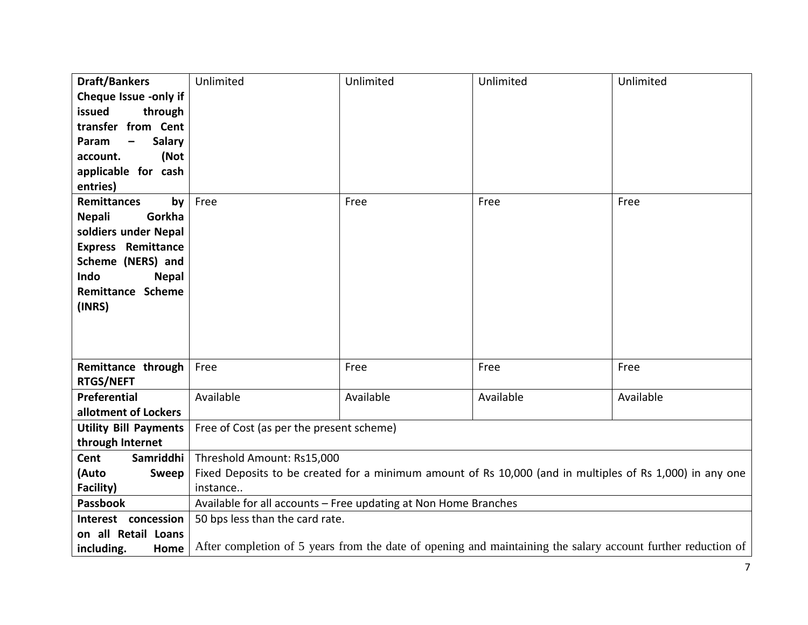| <b>Draft/Bankers</b>                   | Unlimited                                                                                                    | Unlimited | Unlimited | Unlimited |
|----------------------------------------|--------------------------------------------------------------------------------------------------------------|-----------|-----------|-----------|
| Cheque Issue -only if                  |                                                                                                              |           |           |           |
| issued<br>through                      |                                                                                                              |           |           |           |
| transfer from Cent                     |                                                                                                              |           |           |           |
| Param<br><b>Salary</b>                 |                                                                                                              |           |           |           |
| (Not<br>account.                       |                                                                                                              |           |           |           |
| applicable for cash                    |                                                                                                              |           |           |           |
| entries)                               |                                                                                                              |           |           |           |
| <b>Remittances</b><br>by               | Free                                                                                                         | Free      | Free      | Free      |
| <b>Nepali</b><br>Gorkha                |                                                                                                              |           |           |           |
| soldiers under Nepal                   |                                                                                                              |           |           |           |
| <b>Express Remittance</b>              |                                                                                                              |           |           |           |
| Scheme (NERS) and                      |                                                                                                              |           |           |           |
| Indo<br><b>Nepal</b>                   |                                                                                                              |           |           |           |
| <b>Remittance Scheme</b>               |                                                                                                              |           |           |           |
| (INRS)                                 |                                                                                                              |           |           |           |
|                                        |                                                                                                              |           |           |           |
|                                        |                                                                                                              |           |           |           |
|                                        |                                                                                                              |           |           |           |
| Remittance through<br><b>RTGS/NEFT</b> | Free                                                                                                         | Free      | Free      | Free      |
| Preferential                           | Available                                                                                                    | Available | Available | Available |
| allotment of Lockers                   |                                                                                                              |           |           |           |
| <b>Utility Bill Payments</b>           | Free of Cost (as per the present scheme)                                                                     |           |           |           |
| through Internet                       |                                                                                                              |           |           |           |
| Samriddhi  <br>Cent                    | Threshold Amount: Rs15,000                                                                                   |           |           |           |
| (Auto<br>Sweep                         | Fixed Deposits to be created for a minimum amount of Rs 10,000 (and in multiples of Rs 1,000) in any one     |           |           |           |
| Facility)                              | instance                                                                                                     |           |           |           |
| <b>Passbook</b>                        | Available for all accounts - Free updating at Non Home Branches                                              |           |           |           |
| Interest concession                    | 50 bps less than the card rate.                                                                              |           |           |           |
| on all Retail Loans                    |                                                                                                              |           |           |           |
| including.<br>Home                     | After completion of 5 years from the date of opening and maintaining the salary account further reduction of |           |           |           |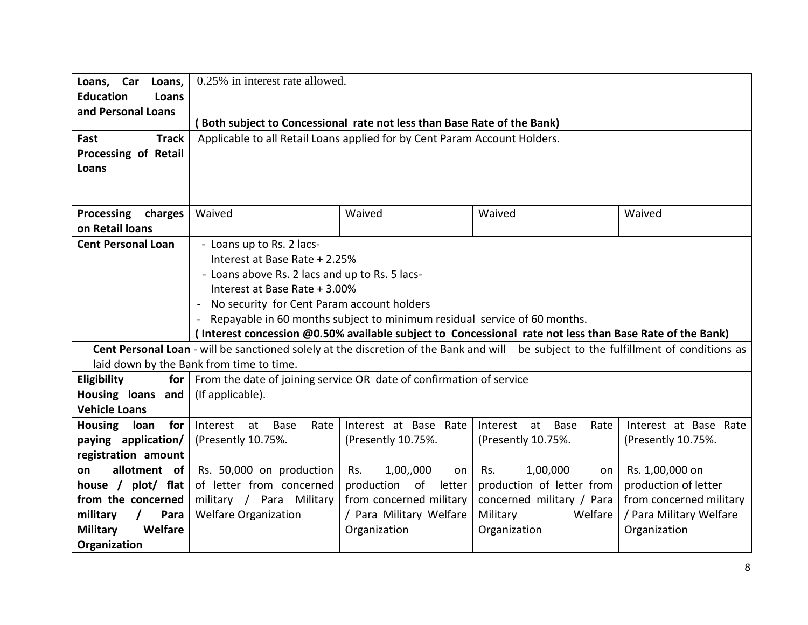| Loans, Car<br>Loans,          | 0.25% in interest rate allowed.                                                                                                      |                            |                                                                                                         |                         |
|-------------------------------|--------------------------------------------------------------------------------------------------------------------------------------|----------------------------|---------------------------------------------------------------------------------------------------------|-------------------------|
| <b>Education</b><br>Loans     |                                                                                                                                      |                            |                                                                                                         |                         |
| and Personal Loans            |                                                                                                                                      |                            |                                                                                                         |                         |
|                               | Both subject to Concessional rate not less than Base Rate of the Bank)                                                               |                            |                                                                                                         |                         |
| Fast<br><b>Track</b>          | Applicable to all Retail Loans applied for by Cent Param Account Holders.                                                            |                            |                                                                                                         |                         |
| Processing of Retail          |                                                                                                                                      |                            |                                                                                                         |                         |
| Loans                         |                                                                                                                                      |                            |                                                                                                         |                         |
|                               |                                                                                                                                      |                            |                                                                                                         |                         |
|                               |                                                                                                                                      |                            |                                                                                                         |                         |
| Processing<br>charges         | Waived                                                                                                                               | Waived                     | Waived                                                                                                  | Waived                  |
| on Retail loans               |                                                                                                                                      |                            |                                                                                                         |                         |
| <b>Cent Personal Loan</b>     | - Loans up to Rs. 2 lacs-                                                                                                            |                            |                                                                                                         |                         |
|                               | Interest at Base Rate + 2.25%                                                                                                        |                            |                                                                                                         |                         |
|                               | - Loans above Rs. 2 lacs and up to Rs. 5 lacs-                                                                                       |                            |                                                                                                         |                         |
|                               | Interest at Base Rate + 3.00%                                                                                                        |                            |                                                                                                         |                         |
|                               | - No security for Cent Param account holders                                                                                         |                            |                                                                                                         |                         |
|                               | - Repayable in 60 months subject to minimum residual service of 60 months.                                                           |                            |                                                                                                         |                         |
|                               |                                                                                                                                      |                            | (Interest concession @0.50% available subject to Concessional rate not less than Base Rate of the Bank) |                         |
|                               | Cent Personal Loan - will be sanctioned solely at the discretion of the Bank and will be subject to the fulfillment of conditions as |                            |                                                                                                         |                         |
| Eligibility<br>for $ $        | laid down by the Bank from time to time.<br>From the date of joining service OR date of confirmation of service                      |                            |                                                                                                         |                         |
| Housing loans and             | (If applicable).                                                                                                                     |                            |                                                                                                         |                         |
| <b>Vehicle Loans</b>          |                                                                                                                                      |                            |                                                                                                         |                         |
| for<br><b>Housing</b><br>loan | Interest<br>Rate<br>at<br>Base                                                                                                       | Interest at Base Rate      | Interest<br><b>Base</b><br>Rate<br>at                                                                   | Interest at Base Rate   |
| paying application/           | (Presently 10.75%.                                                                                                                   | (Presently 10.75%.         | (Presently 10.75%.                                                                                      | (Presently 10.75%.      |
| registration amount           |                                                                                                                                      |                            |                                                                                                         |                         |
| allotment of<br>on            | Rs. 50,000 on production                                                                                                             | 1,00,,000<br>Rs.<br>on     | 1,00,000<br>Rs.<br>on                                                                                   | Rs. 1,00,000 on         |
| house / plot/ flat            | of letter from concerned                                                                                                             | production<br>of<br>letter | production of letter from                                                                               | production of letter    |
| from the concerned            | military / Para Military                                                                                                             | from concerned military    | concerned military / Para                                                                               | from concerned military |
| military<br>Para              | <b>Welfare Organization</b>                                                                                                          | / Para Military Welfare    | Military<br>Welfare                                                                                     | / Para Military Welfare |
| <b>Military</b><br>Welfare    |                                                                                                                                      | Organization               | Organization                                                                                            | Organization            |
| Organization                  |                                                                                                                                      |                            |                                                                                                         |                         |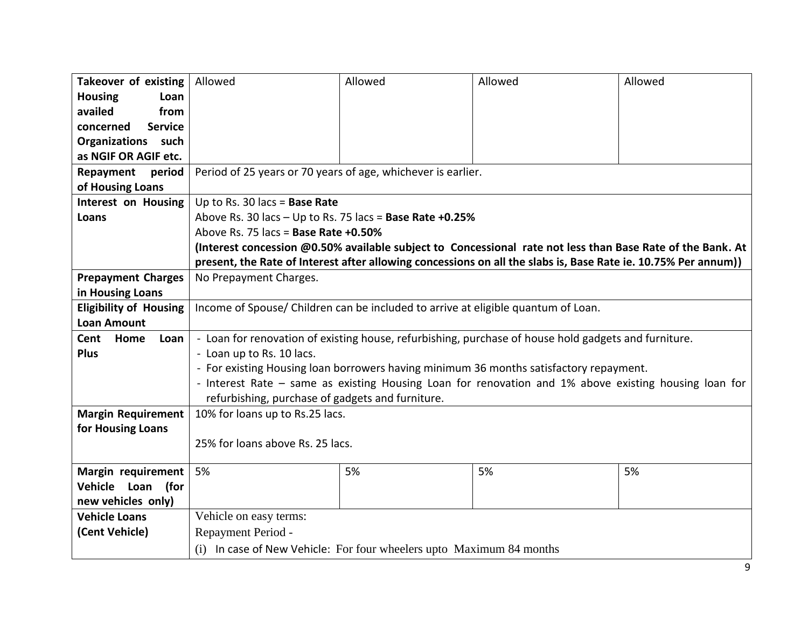| <b>Takeover of existing</b>   | Allowed                                                                                               | Allowed                | Allowed                                                                                                        | Allowed |
|-------------------------------|-------------------------------------------------------------------------------------------------------|------------------------|----------------------------------------------------------------------------------------------------------------|---------|
| <b>Housing</b><br>Loan        |                                                                                                       |                        |                                                                                                                |         |
| availed<br>from               |                                                                                                       |                        |                                                                                                                |         |
| <b>Service</b><br>concerned   |                                                                                                       |                        |                                                                                                                |         |
| <b>Organizations</b> such     |                                                                                                       |                        |                                                                                                                |         |
| as NGIF OR AGIF etc.          |                                                                                                       |                        |                                                                                                                |         |
| period<br>Repayment           | Period of 25 years or 70 years of age, whichever is earlier.                                          |                        |                                                                                                                |         |
| of Housing Loans              |                                                                                                       |                        |                                                                                                                |         |
| Interest on Housing           | Up to Rs. 30 lacs = Base Rate                                                                         |                        |                                                                                                                |         |
| Loans                         | Above Rs. 30 lacs $-$ Up to Rs. 75 lacs = Base Rate +0.25%                                            |                        |                                                                                                                |         |
|                               | Above Rs. 75 lacs = Base Rate +0.50%                                                                  |                        |                                                                                                                |         |
|                               |                                                                                                       |                        | (Interest concession @0.50% available subject to Concessional rate not less than Base Rate of the Bank. At     |         |
|                               |                                                                                                       |                        | present, the Rate of Interest after allowing concessions on all the slabs is, Base Rate ie. 10.75% Per annum)) |         |
| <b>Prepayment Charges</b>     | No Prepayment Charges.                                                                                |                        |                                                                                                                |         |
| in Housing Loans              |                                                                                                       |                        |                                                                                                                |         |
| <b>Eligibility of Housing</b> | Income of Spouse/ Children can be included to arrive at eligible quantum of Loan.                     |                        |                                                                                                                |         |
| <b>Loan Amount</b>            |                                                                                                       |                        |                                                                                                                |         |
| Loan<br>Cent<br>Home          | - Loan for renovation of existing house, refurbishing, purchase of house hold gadgets and furniture.  |                        |                                                                                                                |         |
| <b>Plus</b>                   | - Loan up to Rs. 10 lacs.                                                                             |                        |                                                                                                                |         |
|                               | - For existing Housing loan borrowers having minimum 36 months satisfactory repayment.                |                        |                                                                                                                |         |
|                               | - Interest Rate - same as existing Housing Loan for renovation and 1% above existing housing loan for |                        |                                                                                                                |         |
|                               | refurbishing, purchase of gadgets and furniture.                                                      |                        |                                                                                                                |         |
| <b>Margin Requirement</b>     | 10% for loans up to Rs.25 lacs.                                                                       |                        |                                                                                                                |         |
| for Housing Loans             |                                                                                                       |                        |                                                                                                                |         |
|                               | 25% for loans above Rs. 25 lacs.                                                                      |                        |                                                                                                                |         |
|                               |                                                                                                       |                        |                                                                                                                |         |
| Margin requirement            | 5%                                                                                                    | 5%                     | 5%                                                                                                             | 5%      |
| Vehicle Loan<br>(for          |                                                                                                       |                        |                                                                                                                |         |
| new vehicles only)            |                                                                                                       |                        |                                                                                                                |         |
| <b>Vehicle Loans</b>          |                                                                                                       | Vehicle on easy terms: |                                                                                                                |         |
| (Cent Vehicle)                | Repayment Period -                                                                                    |                        |                                                                                                                |         |
|                               | (i) In case of New Vehicle: For four wheelers upto Maximum 84 months                                  |                        |                                                                                                                |         |